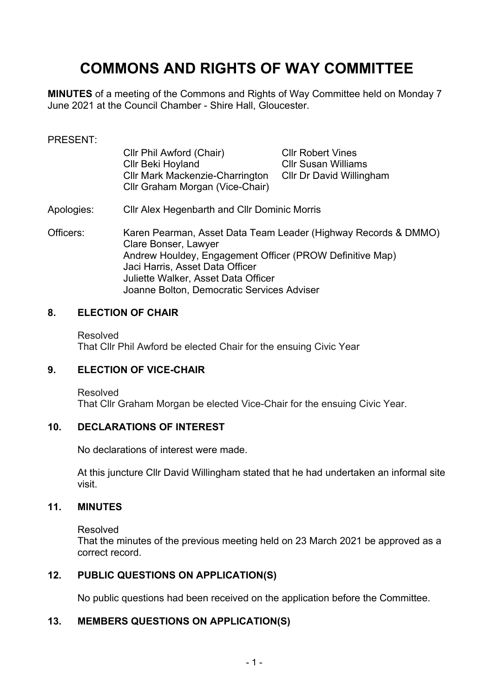# **COMMONS AND RIGHTS OF WAY COMMITTEE**

**MINUTES** of a meeting of the Commons and Rights of Way Committee held on Monday 7 June 2021 at the Council Chamber - Shire Hall, Gloucester.

#### PRESENT:

| Cllr Phil Awford (Chair)               | <b>Cllr Robert Vines</b>   |
|----------------------------------------|----------------------------|
| Cllr Beki Hoyland                      | <b>Cllr Susan Williams</b> |
| <b>CIIr Mark Mackenzie-Charrington</b> | Cllr Dr David Willingham   |
| Cllr Graham Morgan (Vice-Chair)        |                            |

#### Apologies: Cllr Alex Hegenbarth and Cllr Dominic Morris

Officers: Karen Pearman, Asset Data Team Leader (Highway Records & DMMO) Clare Bonser, Lawyer Andrew Houldey, Engagement Officer (PROW Definitive Map) Jaci Harris, Asset Data Officer Juliette Walker, Asset Data Officer Joanne Bolton, Democratic Services Adviser

#### **8. ELECTION OF CHAIR**

Resolved That Cllr Phil Awford be elected Chair for the ensuing Civic Year

### **9. ELECTION OF VICE-CHAIR**

Resolved That Cllr Graham Morgan be elected Vice-Chair for the ensuing Civic Year.

#### **10. DECLARATIONS OF INTEREST**

No declarations of interest were made.

At this juncture Cllr David Willingham stated that he had undertaken an informal site visit.

#### **11. MINUTES**

Resolved

That the minutes of the previous meeting held on 23 March 2021 be approved as a correct record.

### **12. PUBLIC QUESTIONS ON APPLICATION(S)**

No public questions had been received on the application before the Committee.

### **13. MEMBERS QUESTIONS ON APPLICATION(S)**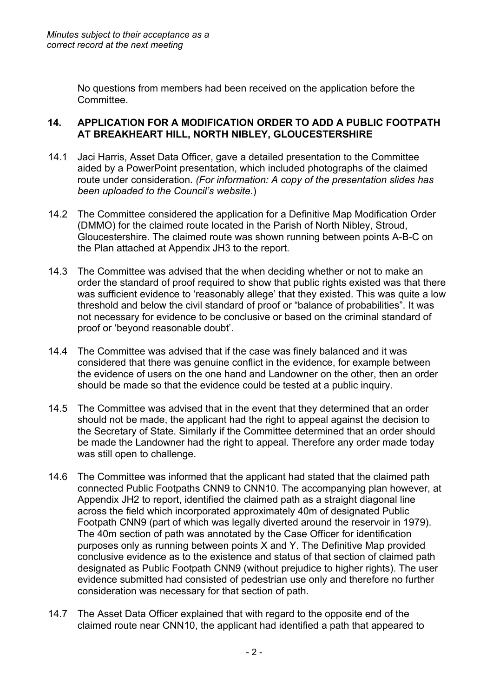No questions from members had been received on the application before the Committee.

# **14. APPLICATION FOR A MODIFICATION ORDER TO ADD A PUBLIC FOOTPATH AT BREAKHEART HILL, NORTH NIBLEY, GLOUCESTERSHIRE**

- 14.1 Jaci Harris, Asset Data Officer, gave a detailed presentation to the Committee aided by a PowerPoint presentation, which included photographs of the claimed route under consideration. *(For information: A copy of the presentation slides has been uploaded to the Council's website*.)
- 14.2 The Committee considered the application for a Definitive Map Modification Order (DMMO) for the claimed route located in the Parish of North Nibley, Stroud, Gloucestershire. The claimed route was shown running between points A-B-C on the Plan attached at Appendix JH3 to the report.
- 14.3 The Committee was advised that the when deciding whether or not to make an order the standard of proof required to show that public rights existed was that there was sufficient evidence to 'reasonably allege' that they existed. This was quite a low threshold and below the civil standard of proof or "balance of probabilities". It was not necessary for evidence to be conclusive or based on the criminal standard of proof or 'beyond reasonable doubt'.
- 14.4 The Committee was advised that if the case was finely balanced and it was considered that there was genuine conflict in the evidence, for example between the evidence of users on the one hand and Landowner on the other, then an order should be made so that the evidence could be tested at a public inquiry.
- 14.5 The Committee was advised that in the event that they determined that an order should not be made, the applicant had the right to appeal against the decision to the Secretary of State. Similarly if the Committee determined that an order should be made the Landowner had the right to appeal. Therefore any order made today was still open to challenge.
- 14.6 The Committee was informed that the applicant had stated that the claimed path connected Public Footpaths CNN9 to CNN10. The accompanying plan however, at Appendix JH2 to report, identified the claimed path as a straight diagonal line across the field which incorporated approximately 40m of designated Public Footpath CNN9 (part of which was legally diverted around the reservoir in 1979). The 40m section of path was annotated by the Case Officer for identification purposes only as running between points X and Y. The Definitive Map provided conclusive evidence as to the existence and status of that section of claimed path designated as Public Footpath CNN9 (without prejudice to higher rights). The user evidence submitted had consisted of pedestrian use only and therefore no further consideration was necessary for that section of path.
- 14.7 The Asset Data Officer explained that with regard to the opposite end of the claimed route near CNN10, the applicant had identified a path that appeared to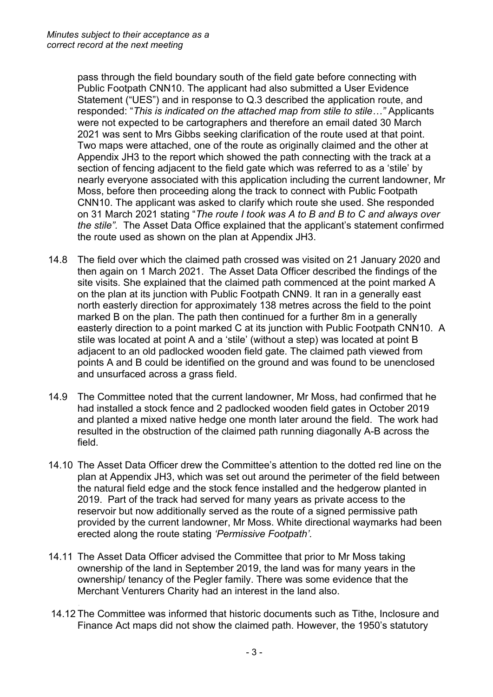pass through the field boundary south of the field gate before connecting with Public Footpath CNN10. The applicant had also submitted a User Evidence Statement ("UES") and in response to Q.3 described the application route, and responded: "*This is indicated on the attached map from stile to stile…"* Applicants were not expected to be cartographers and therefore an email dated 30 March 2021 was sent to Mrs Gibbs seeking clarification of the route used at that point. Two maps were attached, one of the route as originally claimed and the other at Appendix JH3 to the report which showed the path connecting with the track at a section of fencing adjacent to the field gate which was referred to as a 'stile' by nearly everyone associated with this application including the current landowner, Mr Moss, before then proceeding along the track to connect with Public Footpath CNN10. The applicant was asked to clarify which route she used. She responded on 31 March 2021 stating "*The route I took was A to B and B to C and always over the stile".* The Asset Data Office explained that the applicant's statement confirmed the route used as shown on the plan at Appendix JH3.

- 14.8 The field over which the claimed path crossed was visited on 21 January 2020 and then again on 1 March 2021. The Asset Data Officer described the findings of the site visits. She explained that the claimed path commenced at the point marked A on the plan at its junction with Public Footpath CNN9. It ran in a generally east north easterly direction for approximately 138 metres across the field to the point marked B on the plan. The path then continued for a further 8m in a generally easterly direction to a point marked C at its junction with Public Footpath CNN10. A stile was located at point A and a 'stile' (without a step) was located at point B adjacent to an old padlocked wooden field gate. The claimed path viewed from points A and B could be identified on the ground and was found to be unenclosed and unsurfaced across a grass field.
- 14.9 The Committee noted that the current landowner, Mr Moss, had confirmed that he had installed a stock fence and 2 padlocked wooden field gates in October 2019 and planted a mixed native hedge one month later around the field. The work had resulted in the obstruction of the claimed path running diagonally A-B across the field.
- 14.10 The Asset Data Officer drew the Committee's attention to the dotted red line on the plan at Appendix JH3, which was set out around the perimeter of the field between the natural field edge and the stock fence installed and the hedgerow planted in 2019. Part of the track had served for many years as private access to the reservoir but now additionally served as the route of a signed permissive path provided by the current landowner, Mr Moss. White directional waymarks had been erected along the route stating *'Permissive Footpath'.*
- 14.11 The Asset Data Officer advised the Committee that prior to Mr Moss taking ownership of the land in September 2019, the land was for many years in the ownership/ tenancy of the Pegler family. There was some evidence that the Merchant Venturers Charity had an interest in the land also.
- 14.12 The Committee was informed that historic documents such as Tithe, Inclosure and Finance Act maps did not show the claimed path. However, the 1950's statutory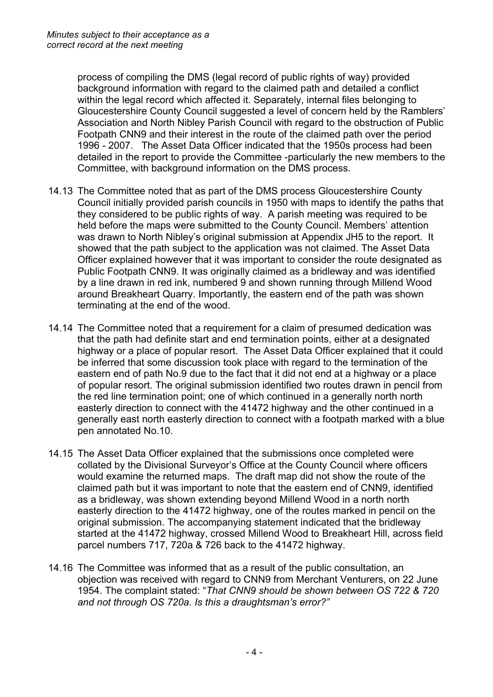process of compiling the DMS (legal record of public rights of way) provided background information with regard to the claimed path and detailed a conflict within the legal record which affected it. Separately, internal files belonging to Gloucestershire County Council suggested a level of concern held by the Ramblers' Association and North Nibley Parish Council with regard to the obstruction of Public Footpath CNN9 and their interest in the route of the claimed path over the period 1996 - 2007. The Asset Data Officer indicated that the 1950s process had been detailed in the report to provide the Committee -particularly the new members to the Committee, with background information on the DMS process.

- 14.13 The Committee noted that as part of the DMS process Gloucestershire County Council initially provided parish councils in 1950 with maps to identify the paths that they considered to be public rights of way. A parish meeting was required to be held before the maps were submitted to the County Council. Members' attention was drawn to North Nibley's original submission at Appendix JH5 to the report. It showed that the path subject to the application was not claimed. The Asset Data Officer explained however that it was important to consider the route designated as Public Footpath CNN9. It was originally claimed as a bridleway and was identified by a line drawn in red ink, numbered 9 and shown running through Millend Wood around Breakheart Quarry. Importantly, the eastern end of the path was shown terminating at the end of the wood.
- 14.14 The Committee noted that a requirement for a claim of presumed dedication was that the path had definite start and end termination points, either at a designated highway or a place of popular resort. The Asset Data Officer explained that it could be inferred that some discussion took place with regard to the termination of the eastern end of path No.9 due to the fact that it did not end at a highway or a place of popular resort. The original submission identified two routes drawn in pencil from the red line termination point; one of which continued in a generally north north easterly direction to connect with the 41472 highway and the other continued in a generally east north easterly direction to connect with a footpath marked with a blue pen annotated No.10.
- 14.15 The Asset Data Officer explained that the submissions once completed were collated by the Divisional Surveyor's Office at the County Council where officers would examine the returned maps. The draft map did not show the route of the claimed path but it was important to note that the eastern end of CNN9, identified as a bridleway, was shown extending beyond Millend Wood in a north north easterly direction to the 41472 highway, one of the routes marked in pencil on the original submission. The accompanying statement indicated that the bridleway started at the 41472 highway, crossed Millend Wood to Breakheart Hill, across field parcel numbers 717, 720a & 726 back to the 41472 highway.
- 14.16 The Committee was informed that as a result of the public consultation, an objection was received with regard to CNN9 from Merchant Venturers, on 22 June 1954. The complaint stated: "*That CNN9 should be shown between OS 722 & 720 and not through OS 720a. Is this a draughtsman's error?"*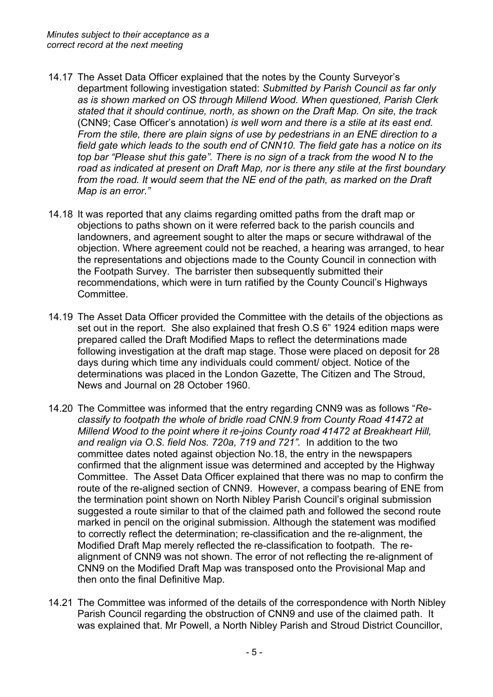- 14.17 The Asset Data Officer explained that the notes by the County Surveyor's department following investigation stated: *Submitted by Parish Council as far only as is shown marked on OS through Millend Wood. When questioned, Parish Clerk stated that it should continue, north, as shown on the Draft Map. On site, the track* (CNN9; Case Officer's annotation) *is well worn and there is a stile at its east end. From the stile, there are plain signs of use by pedestrians in an ENE direction to a field gate which leads to the south end of CNN10. The field gate has a notice on its top bar "Please shut this gate". There is no sign of a track from the wood N to the road as indicated at present on Draft Map, nor is there any stile at the first boundary from the road. It would seem that the NE end of the path, as marked on the Draft Map is an error."*
- 14.18 It was reported that any claims regarding omitted paths from the draft map or objections to paths shown on it were referred back to the parish councils and landowners, and agreement sought to alter the maps or secure withdrawal of the objection. Where agreement could not be reached, a hearing was arranged, to hear the representations and objections made to the County Council in connection with the Footpath Survey. The barrister then subsequently submitted their recommendations, which were in turn ratified by the County Council's Highways Committee.
- 14.19 The Asset Data Officer provided the Committee with the details of the objections as set out in the report. She also explained that fresh O.S 6" 1924 edition maps were prepared called the Draft Modified Maps to reflect the determinations made following investigation at the draft map stage. Those were placed on deposit for 28 days during which time any individuals could comment/ object. Notice of the determinations was placed in the London Gazette, The Citizen and The Stroud, News and Journal on 28 October 1960.
- 14.20 The Committee was informed that the entry regarding CNN9 was as follows "*Reclassify to footpath the whole of bridle road CNN.9 from County Road 41472 at Millend Wood to the point where it re-joins County road 41472 at Breakheart Hill, and realign via O.S. field Nos. 720a, 719 and 721".* In addition to the two committee dates noted against objection No.18, the entry in the newspapers confirmed that the alignment issue was determined and accepted by the Highway Committee. The Asset Data Officer explained that there was no map to confirm the route of the re-aligned section of CNN9. However, a compass bearing of ENE from the termination point shown on North Nibley Parish Council's original submission suggested a route similar to that of the claimed path and followed the second route marked in pencil on the original submission. Although the statement was modified to correctly reflect the determination; re-classification and the re-alignment, the Modified Draft Map merely reflected the re-classification to footpath. The realignment of CNN9 was not shown. The error of not reflecting the re-alignment of CNN9 on the Modified Draft Map was transposed onto the Provisional Map and then onto the final Definitive Map.
- 14.21 The Committee was informed of the details of the correspondence with North Nibley Parish Council regarding the obstruction of CNN9 and use of the claimed path. It was explained that. Mr Powell, a North Nibley Parish and Stroud District Councillor,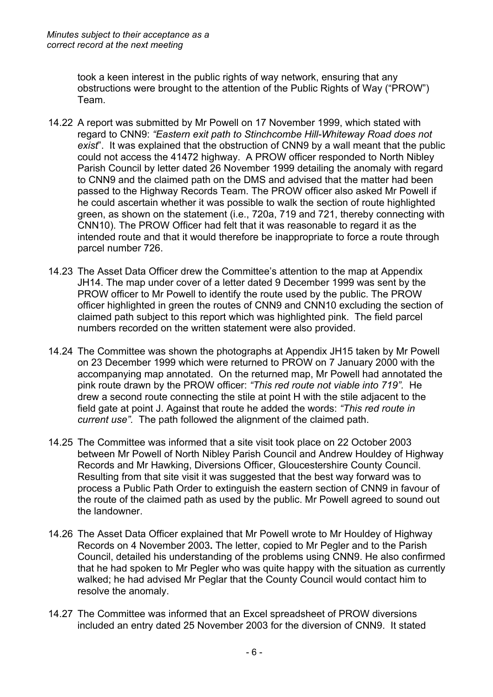took a keen interest in the public rights of way network, ensuring that any obstructions were brought to the attention of the Public Rights of Way ("PROW") Team.

- 14.22 A report was submitted by Mr Powell on 17 November 1999, which stated with regard to CNN9: *"Eastern exit path to Stinchcombe Hill-Whiteway Road does not exist*". It was explained that the obstruction of CNN9 by a wall meant that the public could not access the 41472 highway. A PROW officer responded to North Nibley Parish Council by letter dated 26 November 1999 detailing the anomaly with regard to CNN9 and the claimed path on the DMS and advised that the matter had been passed to the Highway Records Team. The PROW officer also asked Mr Powell if he could ascertain whether it was possible to walk the section of route highlighted green, as shown on the statement (i.e., 720a, 719 and 721, thereby connecting with CNN10). The PROW Officer had felt that it was reasonable to regard it as the intended route and that it would therefore be inappropriate to force a route through parcel number 726.
- 14.23 The Asset Data Officer drew the Committee's attention to the map at Appendix JH14. The map under cover of a letter dated 9 December 1999 was sent by the PROW officer to Mr Powell to identify the route used by the public. The PROW officer highlighted in green the routes of CNN9 and CNN10 excluding the section of claimed path subject to this report which was highlighted pink. The field parcel numbers recorded on the written statement were also provided.
- 14.24 The Committee was shown the photographs at Appendix JH15 taken by Mr Powell on 23 December 1999 which were returned to PROW on 7 January 2000 with the accompanying map annotated. On the returned map, Mr Powell had annotated the pink route drawn by the PROW officer: *"This red route not viable into 719".* He drew a second route connecting the stile at point H with the stile adjacent to the field gate at point J. Against that route he added the words: *"This red route in current use".* The path followed the alignment of the claimed path.
- 14.25 The Committee was informed that a site visit took place on 22 October 2003 between Mr Powell of North Nibley Parish Council and Andrew Houldey of Highway Records and Mr Hawking, Diversions Officer, Gloucestershire County Council. Resulting from that site visit it was suggested that the best way forward was to process a Public Path Order to extinguish the eastern section of CNN9 in favour of the route of the claimed path as used by the public. Mr Powell agreed to sound out the landowner.
- 14.26 The Asset Data Officer explained that Mr Powell wrote to Mr Houldey of Highway Records on 4 November 2003**.** The letter, copied to Mr Pegler and to the Parish Council, detailed his understanding of the problems using CNN9. He also confirmed that he had spoken to Mr Pegler who was quite happy with the situation as currently walked; he had advised Mr Peglar that the County Council would contact him to resolve the anomaly.
- 14.27 The Committee was informed that an Excel spreadsheet of PROW diversions included an entry dated 25 November 2003 for the diversion of CNN9. It stated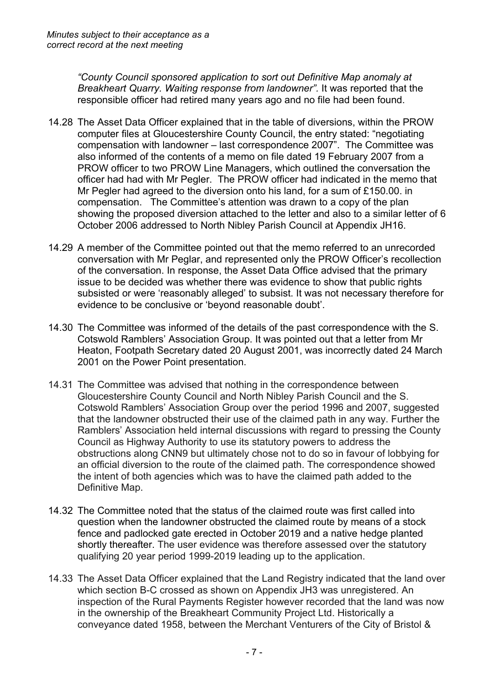*"County Council sponsored application to sort out Definitive Map anomaly at Breakheart Quarry. Waiting response from landowner".* It was reported that the responsible officer had retired many years ago and no file had been found.

- 14.28 The Asset Data Officer explained that in the table of diversions, within the PROW computer files at Gloucestershire County Council, the entry stated: "negotiating compensation with landowner – last correspondence 2007". The Committee was also informed of the contents of a memo on file dated 19 February 2007 from a PROW officer to two PROW Line Managers, which outlined the conversation the officer had had with Mr Pegler. The PROW officer had indicated in the memo that Mr Pegler had agreed to the diversion onto his land, for a sum of £150.00. in compensation. The Committee's attention was drawn to a copy of the plan showing the proposed diversion attached to the letter and also to a similar letter of 6 October 2006 addressed to North Nibley Parish Council at Appendix JH16.
- 14.29 A member of the Committee pointed out that the memo referred to an unrecorded conversation with Mr Peglar, and represented only the PROW Officer's recollection of the conversation. In response, the Asset Data Office advised that the primary issue to be decided was whether there was evidence to show that public rights subsisted or were 'reasonably alleged' to subsist. It was not necessary therefore for evidence to be conclusive or 'beyond reasonable doubt'.
- 14.30 The Committee was informed of the details of the past correspondence with the S. Cotswold Ramblers' Association Group. It was pointed out that a letter from Mr Heaton, Footpath Secretary dated 20 August 2001, was incorrectly dated 24 March 2001 on the Power Point presentation.
- 14.31 The Committee was advised that nothing in the correspondence between Gloucestershire County Council and North Nibley Parish Council and the S. Cotswold Ramblers' Association Group over the period 1996 and 2007, suggested that the landowner obstructed their use of the claimed path in any way. Further the Ramblers' Association held internal discussions with regard to pressing the County Council as Highway Authority to use its statutory powers to address the obstructions along CNN9 but ultimately chose not to do so in favour of lobbying for an official diversion to the route of the claimed path. The correspondence showed the intent of both agencies which was to have the claimed path added to the Definitive Map.
- 14.32 The Committee noted that the status of the claimed route was first called into question when the landowner obstructed the claimed route by means of a stock fence and padlocked gate erected in October 2019 and a native hedge planted shortly thereafter. The user evidence was therefore assessed over the statutory qualifying 20 year period 1999-2019 leading up to the application.
- 14.33 The Asset Data Officer explained that the Land Registry indicated that the land over which section B-C crossed as shown on Appendix JH3 was unregistered. An inspection of the Rural Payments Register however recorded that the land was now in the ownership of the Breakheart Community Project Ltd. Historically a conveyance dated 1958, between the Merchant Venturers of the City of Bristol &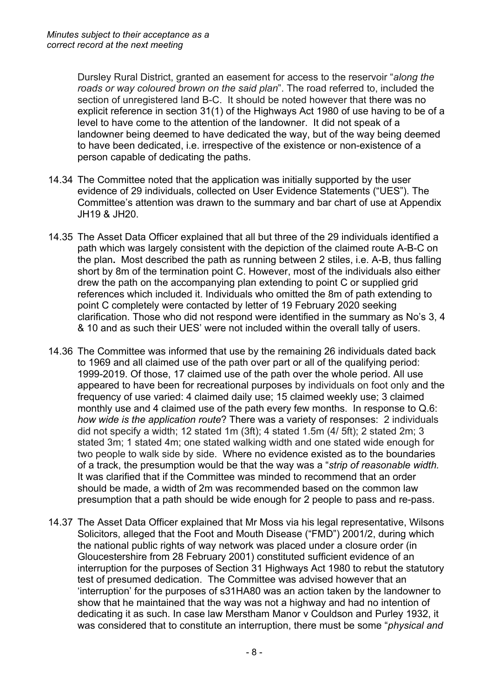Dursley Rural District, granted an easement for access to the reservoir "*along the roads or way coloured brown on the said plan*". The road referred to, included the section of unregistered land B-C. It should be noted however that there was no explicit reference in section 31(1) of the Highways Act 1980 of use having to be of a level to have come to the attention of the landowner. It did not speak of a landowner being deemed to have dedicated the way, but of the way being deemed to have been dedicated, i.e. irrespective of the existence or non-existence of a person capable of dedicating the paths.

- 14.34 The Committee noted that the application was initially supported by the user evidence of 29 individuals, collected on User Evidence Statements ("UES"). The Committee's attention was drawn to the summary and bar chart of use at Appendix JH19 & JH20.
- 14.35 The Asset Data Officer explained that all but three of the 29 individuals identified a path which was largely consistent with the depiction of the claimed route A-B-C on the plan**.** Most described the path as running between 2 stiles, i.e. A-B, thus falling short by 8m of the termination point C. However, most of the individuals also either drew the path on the accompanying plan extending to point C or supplied grid references which included it. Individuals who omitted the 8m of path extending to point C completely were contacted by letter of 19 February 2020 seeking clarification. Those who did not respond were identified in the summary as No's 3, 4 & 10 and as such their UES' were not included within the overall tally of users.
- 14.36 The Committee was informed that use by the remaining 26 individuals dated back to 1969 and all claimed use of the path over part or all of the qualifying period: 1999-2019. Of those, 17 claimed use of the path over the whole period. All use appeared to have been for recreational purposes by individuals on foot only and the frequency of use varied: 4 claimed daily use; 15 claimed weekly use; 3 claimed monthly use and 4 claimed use of the path every few months. In response to Q.6: *how wide is the application route*? There was a variety of responses: 2 individuals did not specify a width; 12 stated 1m (3ft); 4 stated 1.5m (4/ 5ft); 2 stated 2m; 3 stated 3m; 1 stated 4m; one stated walking width and one stated wide enough for two people to walk side by side. Where no evidence existed as to the boundaries of a track, the presumption would be that the way was a "*strip of reasonable width.* It was clarified that if the Committee was minded to recommend that an order should be made, a width of 2m was recommended based on the common law presumption that a path should be wide enough for 2 people to pass and re-pass.
- 14.37 The Asset Data Officer explained that Mr Moss via his legal representative, Wilsons Solicitors, alleged that the Foot and Mouth Disease ("FMD") 2001/2, during which the national public rights of way network was placed under a closure order (in Gloucestershire from 28 February 2001) constituted sufficient evidence of an interruption for the purposes of Section 31 Highways Act 1980 to rebut the statutory test of presumed dedication. The Committee was advised however that an 'interruption' for the purposes of s31HA80 was an action taken by the landowner to show that he maintained that the way was not a highway and had no intention of dedicating it as such. In case law Merstham Manor v Couldson and Purley 1932, it was considered that to constitute an interruption, there must be some "*physical and*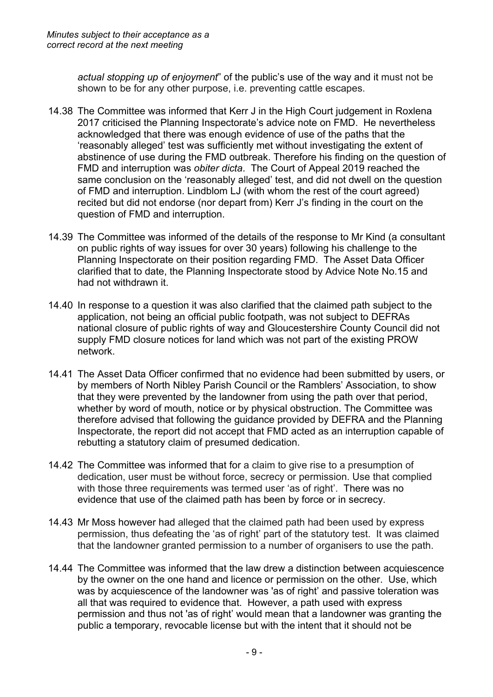*actual stopping up of enjoyment*" of the public's use of the way and it must not be shown to be for any other purpose, i.e. preventing cattle escapes.

- 14.38 The Committee was informed that Kerr J in the High Court judgement in Roxlena 2017 criticised the Planning Inspectorate's advice note on FMD. He nevertheless acknowledged that there was enough evidence of use of the paths that the 'reasonably alleged' test was sufficiently met without investigating the extent of abstinence of use during the FMD outbreak. Therefore his finding on the question of FMD and interruption was *obiter dicta*. The Court of Appeal 2019 reached the same conclusion on the 'reasonably alleged' test, and did not dwell on the question of FMD and interruption. Lindblom LJ (with whom the rest of the court agreed) recited but did not endorse (nor depart from) Kerr J's finding in the court on the question of FMD and interruption.
- 14.39 The Committee was informed of the details of the response to Mr Kind (a consultant on public rights of way issues for over 30 years) following his challenge to the Planning Inspectorate on their position regarding FMD. The Asset Data Officer clarified that to date, the Planning Inspectorate stood by Advice Note No.15 and had not withdrawn it.
- 14.40 In response to a question it was also clarified that the claimed path subject to the application, not being an official public footpath, was not subject to DEFRAs national closure of public rights of way and Gloucestershire County Council did not supply FMD closure notices for land which was not part of the existing PROW network.
- 14.41 The Asset Data Officer confirmed that no evidence had been submitted by users, or by members of North Nibley Parish Council or the Ramblers' Association, to show that they were prevented by the landowner from using the path over that period, whether by word of mouth, notice or by physical obstruction. The Committee was therefore advised that following the guidance provided by DEFRA and the Planning Inspectorate, the report did not accept that FMD acted as an interruption capable of rebutting a statutory claim of presumed dedication.
- 14.42 The Committee was informed that for a claim to give rise to a presumption of dedication, user must be without force, secrecy or permission. Use that complied with those three requirements was termed user 'as of right'. There was no evidence that use of the claimed path has been by force or in secrecy.
- 14.43 Mr Moss however had alleged that the claimed path had been used by express permission, thus defeating the 'as of right' part of the statutory test. It was claimed that the landowner granted permission to a number of organisers to use the path.
- 14.44 The Committee was informed that the law drew a distinction between acquiescence by the owner on the one hand and licence or permission on the other. Use, which was by acquiescence of the landowner was 'as of right' and passive toleration was all that was required to evidence that. However, a path used with express permission and thus not 'as of right' would mean that a landowner was granting the public a temporary, revocable license but with the intent that it should not be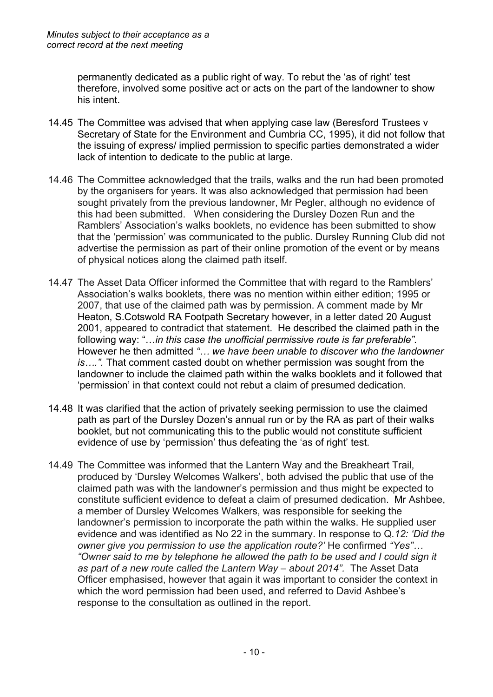permanently dedicated as a public right of way. To rebut the 'as of right' test therefore, involved some positive act or acts on the part of the landowner to show his intent.

- 14.45 The Committee was advised that when applying case law (Beresford Trustees v Secretary of State for the Environment and Cumbria CC, 1995), it did not follow that the issuing of express/ implied permission to specific parties demonstrated a wider lack of intention to dedicate to the public at large.
- 14.46 The Committee acknowledged that the trails, walks and the run had been promoted by the organisers for years. It was also acknowledged that permission had been sought privately from the previous landowner, Mr Pegler, although no evidence of this had been submitted. When considering the Dursley Dozen Run and the Ramblers' Association's walks booklets, no evidence has been submitted to show that the 'permission' was communicated to the public. Dursley Running Club did not advertise the permission as part of their online promotion of the event or by means of physical notices along the claimed path itself.
- 14.47 The Asset Data Officer informed the Committee that with regard to the Ramblers' Association's walks booklets, there was no mention within either edition; 1995 or 2007, that use of the claimed path was by permission. A comment made by Mr Heaton, S.Cotswold RA Footpath Secretary however, in a letter dated 20 August 2001, appeared to contradict that statement.He described the claimed path in the following way: "…*in this case the unofficial permissive route is far preferable".* However he then admitted *"… we have been unable to discover who the landowner is….".* That comment casted doubt on whether permission was sought from the landowner to include the claimed path within the walks booklets and it followed that 'permission' in that context could not rebut a claim of presumed dedication.
- 14.48 It was clarified that the action of privately seeking permission to use the claimed path as part of the Dursley Dozen's annual run or by the RA as part of their walks booklet, but not communicating this to the public would not constitute sufficient evidence of use by 'permission' thus defeating the 'as of right' test.
- 14.49 The Committee was informed that the Lantern Way and the Breakheart Trail, produced by 'Dursley Welcomes Walkers', both advised the public that use of the claimed path was with the landowner's permission and thus might be expected to constitute sufficient evidence to defeat a claim of presumed dedication. Mr Ashbee, a member of Dursley Welcomes Walkers, was responsible for seeking the landowner's permission to incorporate the path within the walks. He supplied user evidence and was identified as No 22 in the summary. In response to Q*.12: 'Did the owner give you permission to use the application route?'* He confirmed *"Yes"… "Owner said to me by telephone he allowed the path to be used and I could sign it as part of a new route called the Lantern Way – about 2014".* The Asset Data Officer emphasised, however that again it was important to consider the context in which the word permission had been used, and referred to David Ashbee's response to the consultation as outlined in the report.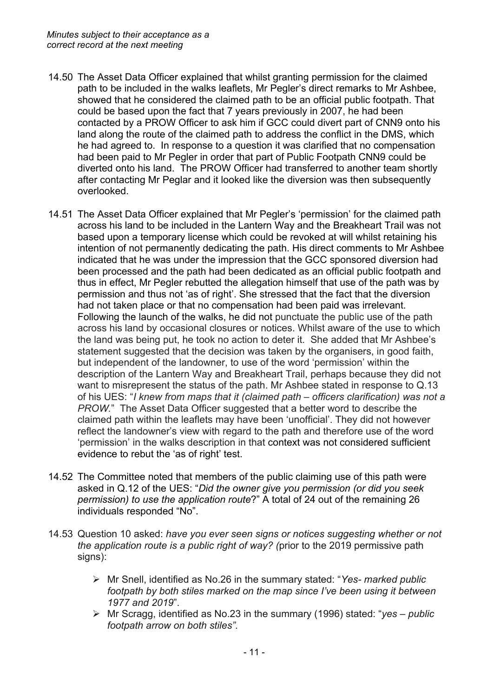- 14.50 The Asset Data Officer explained that whilst granting permission for the claimed path to be included in the walks leaflets, Mr Pegler's direct remarks to Mr Ashbee, showed that he considered the claimed path to be an official public footpath. That could be based upon the fact that 7 years previously in 2007, he had been contacted by a PROW Officer to ask him if GCC could divert part of CNN9 onto his land along the route of the claimed path to address the conflict in the DMS, which he had agreed to. In response to a question it was clarified that no compensation had been paid to Mr Pegler in order that part of Public Footpath CNN9 could be diverted onto his land. The PROW Officer had transferred to another team shortly after contacting Mr Peglar and it looked like the diversion was then subsequently overlooked.
- 14.51 The Asset Data Officer explained that Mr Pegler's 'permission' for the claimed path across his land to be included in the Lantern Way and the Breakheart Trail was not based upon a temporary license which could be revoked at will whilst retaining his intention of not permanently dedicating the path. His direct comments to Mr Ashbee indicated that he was under the impression that the GCC sponsored diversion had been processed and the path had been dedicated as an official public footpath and thus in effect, Mr Pegler rebutted the allegation himself that use of the path was by permission and thus not 'as of right'. She stressed that the fact that the diversion had not taken place or that no compensation had been paid was irrelevant. Following the launch of the walks, he did not punctuate the public use of the path across his land by occasional closures or notices. Whilst aware of the use to which the land was being put, he took no action to deter it. She added that Mr Ashbee's statement suggested that the decision was taken by the organisers, in good faith, but independent of the landowner, to use of the word 'permission' within the description of the Lantern Way and Breakheart Trail, perhaps because they did not want to misrepresent the status of the path. Mr Ashbee stated in response to Q.13 of his UES: "*I knew from maps that it (claimed path – officers clarification) was not a PROW.*" The Asset Data Officer suggested that a better word to describe the claimed path within the leaflets may have been 'unofficial'. They did not however reflect the landowner's view with regard to the path and therefore use of the word 'permission' in the walks description in that context was not considered sufficient evidence to rebut the 'as of right' test.
- 14.52 The Committee noted that members of the public claiming use of this path were asked in Q.12 of the UES: "*Did the owner give you permission (or did you seek permission) to use the application route*?" A total of 24 out of the remaining 26 individuals responded "No".
- 14.53 Question 10 asked: *have you ever seen signs or notices suggesting whether or not the application route is a public right of way? (*prior to the 2019 permissive path signs):
	- Mr Snell, identified as No.26 in the summary stated: "*Yes- marked public footpath by both stiles marked on the map since I've been using it between 1977 and 2019*".
	- Mr Scragg, identified as No.23 in the summary (1996) stated: "*yes – public footpath arrow on both stiles".*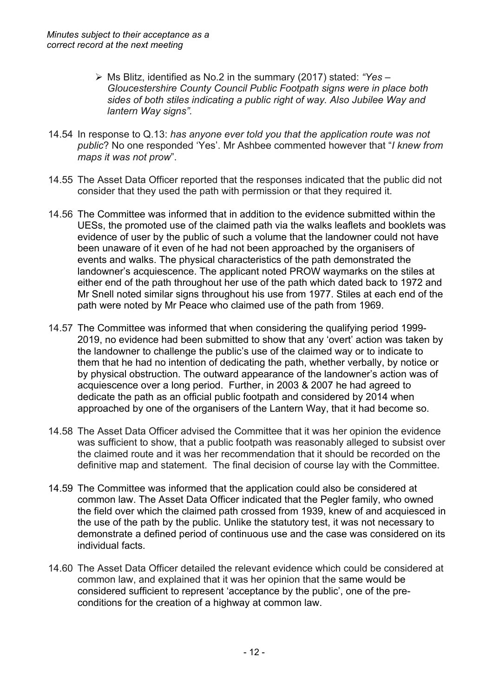- Ms Blitz, identified as No.2 in the summary (2017) stated: *"Yes – Gloucestershire County Council Public Footpath signs were in place both sides of both stiles indicating a public right of way. Also Jubilee Way and lantern Way signs".*
- 14.54 In response to Q.13: *has anyone ever told you that the application route was not public*? No one responded 'Yes'. Mr Ashbee commented however that "*I knew from maps it was not prow*".
- 14.55 The Asset Data Officer reported that the responses indicated that the public did not consider that they used the path with permission or that they required it.
- 14.56 The Committee was informed that in addition to the evidence submitted within the UESs, the promoted use of the claimed path via the walks leaflets and booklets was evidence of user by the public of such a volume that the landowner could not have been unaware of it even of he had not been approached by the organisers of events and walks. The physical characteristics of the path demonstrated the landowner's acquiescence. The applicant noted PROW waymarks on the stiles at either end of the path throughout her use of the path which dated back to 1972 and Mr Snell noted similar signs throughout his use from 1977. Stiles at each end of the path were noted by Mr Peace who claimed use of the path from 1969.
- 14.57 The Committee was informed that when considering the qualifying period 1999- 2019, no evidence had been submitted to show that any 'overt' action was taken by the landowner to challenge the public's use of the claimed way or to indicate to them that he had no intention of dedicating the path, whether verbally, by notice or by physical obstruction. The outward appearance of the landowner's action was of acquiescence over a long period. Further, in 2003 & 2007 he had agreed to dedicate the path as an official public footpath and considered by 2014 when approached by one of the organisers of the Lantern Way, that it had become so.
- 14.58 The Asset Data Officer advised the Committee that it was her opinion the evidence was sufficient to show, that a public footpath was reasonably alleged to subsist over the claimed route and it was her recommendation that it should be recorded on the definitive map and statement. The final decision of course lay with the Committee.
- 14.59 The Committee was informed that the application could also be considered at common law. The Asset Data Officer indicated that the Pegler family, who owned the field over which the claimed path crossed from 1939, knew of and acquiesced in the use of the path by the public. Unlike the statutory test, it was not necessary to demonstrate a defined period of continuous use and the case was considered on its individual facts.
- 14.60 The Asset Data Officer detailed the relevant evidence which could be considered at common law, and explained that it was her opinion that the same would be considered sufficient to represent 'acceptance by the public', one of the preconditions for the creation of a highway at common law.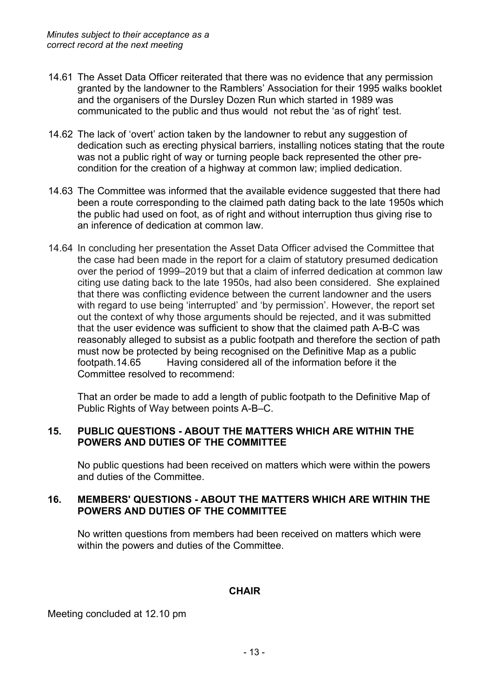- 14.61 The Asset Data Officer reiterated that there was no evidence that any permission granted by the landowner to the Ramblers' Association for their 1995 walks booklet and the organisers of the Dursley Dozen Run which started in 1989 was communicated to the public and thus would not rebut the 'as of right' test.
- 14.62 The lack of 'overt' action taken by the landowner to rebut any suggestion of dedication such as erecting physical barriers, installing notices stating that the route was not a public right of way or turning people back represented the other precondition for the creation of a highway at common law; implied dedication.
- 14.63 The Committee was informed that the available evidence suggested that there had been a route corresponding to the claimed path dating back to the late 1950s which the public had used on foot, as of right and without interruption thus giving rise to an inference of dedication at common law.
- 14.64 In concluding her presentation the Asset Data Officer advised the Committee that the case had been made in the report for a claim of statutory presumed dedication over the period of 1999–2019 but that a claim of inferred dedication at common law citing use dating back to the late 1950s, had also been considered. She explained that there was conflicting evidence between the current landowner and the users with regard to use being 'interrupted' and 'by permission'. However, the report set out the context of why those arguments should be rejected, and it was submitted that the user evidence was sufficient to show that the claimed path A-B-C was reasonably alleged to subsist as a public footpath and therefore the section of path must now be protected by being recognised on the Definitive Map as a public footpath.14.65 Having considered all of the information before it the Committee resolved to recommend:

That an order be made to add a length of public footpath to the Definitive Map of Public Rights of Way between points A-B–C.

# **15. PUBLIC QUESTIONS - ABOUT THE MATTERS WHICH ARE WITHIN THE POWERS AND DUTIES OF THE COMMITTEE**

No public questions had been received on matters which were within the powers and duties of the Committee.

# **16. MEMBERS' QUESTIONS - ABOUT THE MATTERS WHICH ARE WITHIN THE POWERS AND DUTIES OF THE COMMITTEE**

No written questions from members had been received on matters which were within the powers and duties of the Committee.

# **CHAIR**

Meeting concluded at 12.10 pm